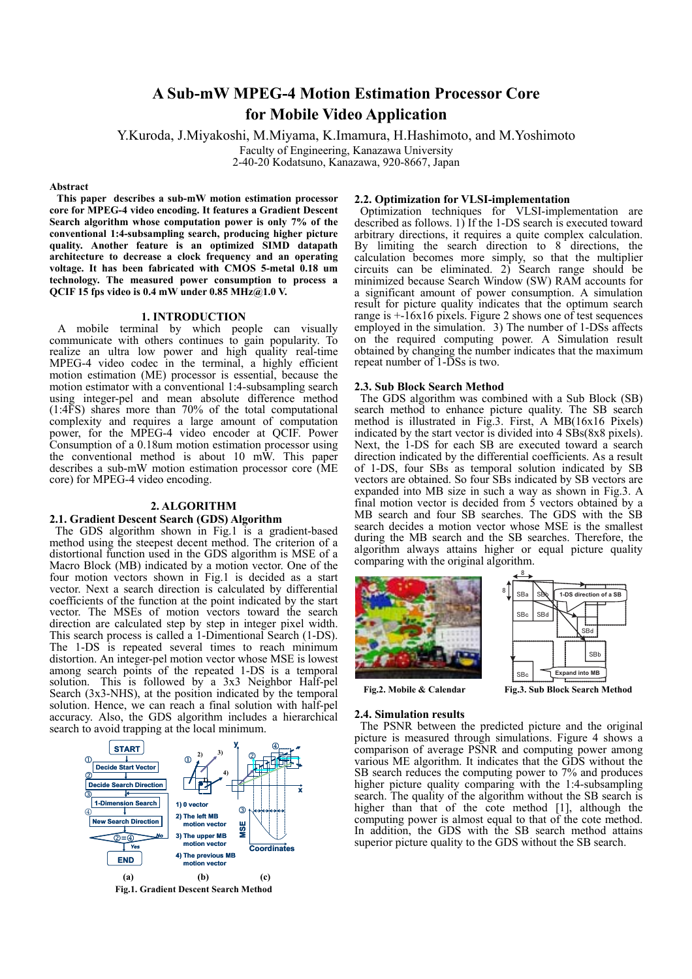# **A Sub-mW MPEG-4 Motion Estimation Processor Core for Mobile Video Application**

Y.Kuroda, J.Miyakoshi, M.Miyama, K.Imamura, H.Hashimoto, and M.Yoshimoto

Faculty of Engineering, Kanazawa University

2-40-20 Kodatsuno, Kanazawa, 920-8667, Japan

## **Abstract**

**This paper describes a sub-mW motion estimation processor core for MPEG-4 video encoding. It features a Gradient Descent Search algorithm whose computation power is only 7% of the conventional 1:4-subsampling search, producing higher picture quality. Another feature is an optimized SIMD datapath architecture to decrease a clock frequency and an operating voltage. It has been fabricated with CMOS 5-metal 0.18 um technology. The measured power consumption to process a QCIF 15 fps video is 0.4 mW under 0.85 MHz@1.0 V.** 

# **1. INTRODUCTION**

A mobile terminal by which people can visually communicate with others continues to gain popularity. To realize an ultra low power and high quality real-time MPEG-4 video codec in the terminal, a highly efficient motion estimation (ME) processor is essential, because the motion estimator with a conventional 1:4-subsampling search using integer-pel and mean absolute difference method (1:4FS) shares more than 70% of the total computational complexity and requires a large amount of computation power, for the MPEG-4 video encoder at QCIF. Power Consumption of a 0.18um motion estimation processor using the conventional method is about 10 mW. This paper describes a sub-mW motion estimation processor core (ME core) for MPEG-4 video encoding.

## **2. ALGORITHM**

# **2.1. Gradient Descent Search (GDS) Algorithm**

The GDS algorithm shown in Fig.1 is a gradient-based method using the steepest decent method. The criterion of a distortional function used in the GDS algorithm is MSE of a Macro Block (MB) indicated by a motion vector. One of the four motion vectors shown in Fig.1 is decided as a start vector. Next a search direction is calculated by differential coefficients of the function at the point indicated by the start vector. The MSEs of motion vectors toward the search direction are calculated step by step in integer pixel width. This search process is called a 1-Dimentional Search (1-DS). The 1-DS is repeated several times to reach minimum distortion. An integer-pel motion vector whose MSE is lowest among search points of the repeated 1-DS is a temporal solution. This is followed by a 3x3 Neighbor Half-pel Search (3x3-NHS), at the position indicated by the temporal solution. Hence, we can reach a final solution with half-pel accuracy. Also, the GDS algorithm includes a hierarchical search to avoid trapping at the local minimum.



#### **2.2. Optimization for VLSI-implementation**

Optimization techniques for VLSI-implementation are described as follows. 1) If the 1-DS search is executed toward arbitrary directions, it requires a quite complex calculation. By limiting the search direction to 8 directions, the calculation becomes more simply, so that the multiplier circuits can be eliminated.  $2^{\frac{1}{2}}$  Search range should be minimized because Search Window (SW) RAM accounts for a significant amount of power consumption. A simulation result for picture quality indicates that the optimum search range is  $+16x16$  pixels. Figure 2 shows one of test sequences employed in the simulation. 3) The number of 1-DSs affects on the required computing power. A Simulation result obtained by changing the number indicates that the maximum repeat number of  $1-\overline{D}Ss$  is two.

## **2.3. Sub Block Search Method**

 The GDS algorithm was combined with a Sub Block (SB) search method to enhance picture quality. The SB search method is illustrated in Fig.3. First, A MB(16x16 Pixels) indicated by the start vector is divided into 4 SBs(8x8 pixels). Next, the 1-DS for each SB are executed toward a search direction indicated by the differential coefficients. As a result of 1-DS, four SBs as temporal solution indicated by SB vectors are obtained. So four SBs indicated by SB vectors are expanded into MB size in such a way as shown in Fig.3. A final motion vector is decided from  $\zeta$  vectors obtained by a MB search and four SB searches. The GDS with the SB search decides a motion vector whose MSE is the smallest during the MB search and the SB searches. Therefore, the algorithm always attains higher or equal picture quality comparing with the original algorithm.







#### **2.4. Simulation results**

The PSNR between the predicted picture and the original picture is measured through simulations. Figure 4 shows a comparison of average PSNR and computing power among various ME algorithm. It indicates that the GDS without the SB search reduces the computing power to 7% and produces higher picture quality comparing with the 1:4-subsampling search. The quality of the algorithm without the SB search is higher than that of the cote method [1], although the computing power is almost equal to that of the cote method. In addition, the GDS with the SB search method attains superior picture quality to the GDS without the SB search.